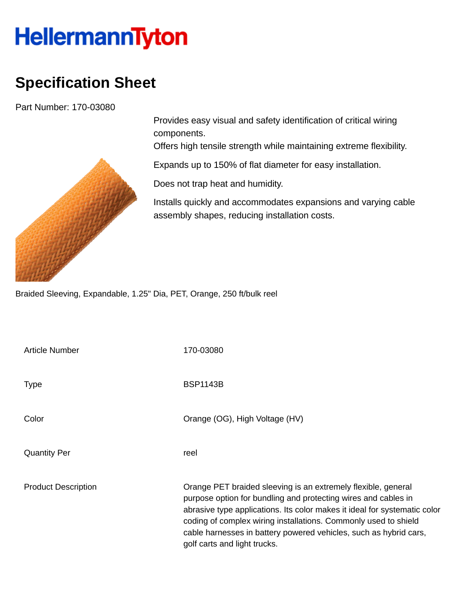## **HellermannTyton**

## **Specification Sheet**

Part Number: 170-03080



Provides easy visual and safety identification of critical wiring components.

Offers high tensile strength while maintaining extreme flexibility.

Expands up to 150% of flat diameter for easy installation.

Does not trap heat and humidity.

Installs quickly and accommodates expansions and varying cable assembly shapes, reducing installation costs.

Braided Sleeving, Expandable, 1.25" Dia, PET, Orange, 250 ft/bulk reel

| Article Number             | 170-03080                                                                                                                                                                                                                                                                                                                                                                            |
|----------------------------|--------------------------------------------------------------------------------------------------------------------------------------------------------------------------------------------------------------------------------------------------------------------------------------------------------------------------------------------------------------------------------------|
| <b>Type</b>                | <b>BSP1143B</b>                                                                                                                                                                                                                                                                                                                                                                      |
| Color                      | Orange (OG), High Voltage (HV)                                                                                                                                                                                                                                                                                                                                                       |
| <b>Quantity Per</b>        | reel                                                                                                                                                                                                                                                                                                                                                                                 |
| <b>Product Description</b> | Orange PET braided sleeving is an extremely flexible, general<br>purpose option for bundling and protecting wires and cables in<br>abrasive type applications. Its color makes it ideal for systematic color<br>coding of complex wiring installations. Commonly used to shield<br>cable harnesses in battery powered vehicles, such as hybrid cars,<br>golf carts and light trucks. |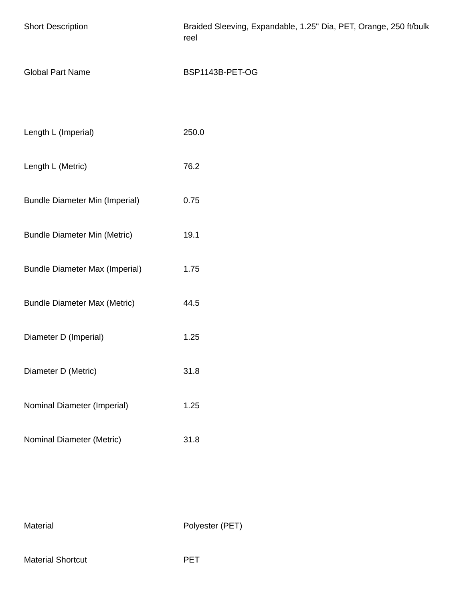| <b>Short Description</b>              | Braided Sleeving, Expandable, 1.25" Dia, PET, Orange, 250 ft/bulk<br>reel |
|---------------------------------------|---------------------------------------------------------------------------|
| <b>Global Part Name</b>               | BSP1143B-PET-OG                                                           |
|                                       |                                                                           |
| Length L (Imperial)                   | 250.0                                                                     |
| Length L (Metric)                     | 76.2                                                                      |
| <b>Bundle Diameter Min (Imperial)</b> | 0.75                                                                      |
| <b>Bundle Diameter Min (Metric)</b>   | 19.1                                                                      |
| <b>Bundle Diameter Max (Imperial)</b> | 1.75                                                                      |
| <b>Bundle Diameter Max (Metric)</b>   | 44.5                                                                      |
| Diameter D (Imperial)                 | 1.25                                                                      |
| Diameter D (Metric)                   | 31.8                                                                      |
| Nominal Diameter (Imperial)           | 1.25                                                                      |
| Nominal Diameter (Metric)             | 31.8                                                                      |

Material Polyester (PET)

Material Shortcut **PET**